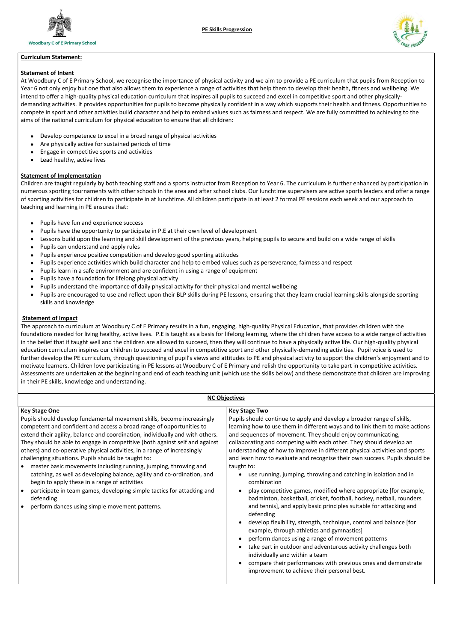



## Curriculum Statement:

## Statement of Intent

- Develop competence to excel in a broad range of physical activities
- Are physically active for sustained periods of time
- Engage in competitive sports and activities
- Lead healthy, active lives

At Woodbury C of E Primary School, we recognise the importance of physical activity and we aim to provide a PE curriculum that pupils from Reception to Year 6 not only enjoy but one that also allows them to experience a range of activities that help them to develop their health, fitness and wellbeing. We intend to offer a high-quality physical education curriculum that inspires all pupils to succeed and excel in competitive sport and other physicallydemanding activities. It provides opportunities for pupils to become physically confident in a way which supports their health and fitness. Opportunities to compete in sport and other activities build character and help to embed values such as fairness and respect. We are fully committed to achieving to the aims of the national curriculum for physical education to ensure that all children:

## Statement of Implementation

- Pupils have fun and experience success
- Pupils have the opportunity to participate in P.E at their own level of development
- Lessons build upon the learning and skill development of the previous years, helping pupils to secure and build on a wide range of skills
- Pupils can understand and apply rules
- Pupils experience positive competition and develop good sporting attitudes
- Pupils experience activities which build character and help to embed values such as perseverance, fairness and respect
- Pupils learn in a safe environment and are confident in using a range of equipment
- Pupils have a foundation for lifelong physical activity
- Pupils understand the importance of daily physical activity for their physical and mental wellbeing
- Pupils are encouraged to use and reflect upon their BLP skills during PE lessons, ensuring that they learn crucial learning skills alongside sporting skills and knowledge

Children are taught regularly by both teaching staff and a sports instructor from Reception to Year 6. The curriculum is further enhanced by participation in numerous sporting tournaments with other schools in the area and after school clubs. Our lunchtime supervisers are active sports leaders and offer a range of sporting activities for children to participate in at lunchtime. All children participate in at least 2 formal PE sessions each week and our approach to teaching and learning in PE ensures that:

## Statement of Impact

The approach to curriculum at Woodbury C of E Primary results in a fun, engaging, high-quality Physical Education, that provides children with the foundations needed for living healthy, active lives. P.E is taught as a basis for lifelong learning, where the children have access to a wide range of activities in the belief that if taught well and the children are allowed to succeed, then they will continue to have a physically active life. Our high-quality physical education curriculum inspires our children to succeed and excel in competitive sport and other physically-demanding activities. Pupil voice is used to further develop the PE curriculum, through questioning of pupil's views and attitudes to PE and physical activity to support the children's enjoyment and to motivate learners. Children love participating in PE lessons at Woodbury C of E Primary and relish the opportunity to take part in competitive activities. Assessments are undertaken at the beginning and end of each teaching unit (which use the skills below) and these demonstrate that children are improving in their PE skills, knowledge and understanding.

| <b>NC Objectives</b>                                                          |                                                                             |  |  |  |  |
|-------------------------------------------------------------------------------|-----------------------------------------------------------------------------|--|--|--|--|
| <b>Key Stage One</b>                                                          | <b>Key Stage Two</b>                                                        |  |  |  |  |
| Pupils should develop fundamental movement skills, become increasingly        | Pupils should continue to apply and develop a broader range of skills,      |  |  |  |  |
| competent and confident and access a broad range of opportunities to          | learning how to use them in different ways and to link them to make actions |  |  |  |  |
| extend their agility, balance and coordination, individually and with others. | and sequences of movement. They should enjoy communicating,                 |  |  |  |  |
| They should be able to engage in competitive (both against self and against   | collaborating and competing with each other. They should develop an         |  |  |  |  |
| others) and co-operative physical activities, in a range of increasingly      | understanding of how to improve in different physical activities and sports |  |  |  |  |
| challenging situations. Pupils should be taught to:                           | and learn how to evaluate and recognise their own success. Pupils should be |  |  |  |  |
| master basic movements including running, jumping, throwing and               | taught to:                                                                  |  |  |  |  |
| catching, as well as developing balance, agility and co-ordination, and       | use running, jumping, throwing and catching in isolation and in             |  |  |  |  |
| begin to apply these in a range of activities                                 | combination                                                                 |  |  |  |  |

- 
- participate in team games, developing simple tactics for attacking and defending
- perform dances using simple movement patterns.
- play competitive games, modified where appropriate [for example, badminton, basketball, cricket, football, hockey, netball, rounders and tennis], and apply basic principles suitable for attacking and defending
- develop flexibility, strength, technique, control and balance [for example, through athletics and gymnastics]
- perform dances using a range of movement patterns
- take part in outdoor and adventurous activity challenges both individually and within a team
- compare their performances with previous ones and demonstrate improvement to achieve their personal best.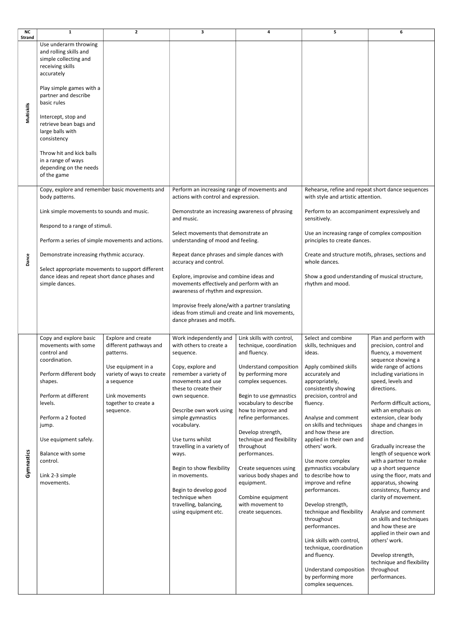| <b>NC</b>     | $\mathbf{1}$                                                                                                         | $\overline{2}$                                                | 3                                                                                                                                   | 4                                                                       | 5                                                                                                                                          | 6                                                                                                                            |
|---------------|----------------------------------------------------------------------------------------------------------------------|---------------------------------------------------------------|-------------------------------------------------------------------------------------------------------------------------------------|-------------------------------------------------------------------------|--------------------------------------------------------------------------------------------------------------------------------------------|------------------------------------------------------------------------------------------------------------------------------|
| <b>Strand</b> |                                                                                                                      |                                                               |                                                                                                                                     |                                                                         |                                                                                                                                            |                                                                                                                              |
| Multiskills   | Use underarm throwing<br>and rolling skills and<br>simple collecting and<br>receiving skills<br>accurately           |                                                               |                                                                                                                                     |                                                                         |                                                                                                                                            |                                                                                                                              |
|               | Play simple games with a<br>partner and describe<br>basic rules                                                      |                                                               |                                                                                                                                     |                                                                         |                                                                                                                                            |                                                                                                                              |
|               | Intercept, stop and<br>retrieve bean bags and<br>large balls with<br>consistency                                     |                                                               |                                                                                                                                     |                                                                         |                                                                                                                                            |                                                                                                                              |
|               | Throw hit and kick balls<br>in a range of ways<br>depending on the needs<br>of the game                              |                                                               |                                                                                                                                     |                                                                         |                                                                                                                                            |                                                                                                                              |
|               | Copy, explore and remember basic movements and<br>body patterns.                                                     |                                                               | Perform an increasing range of movements and<br>actions with control and expression.                                                |                                                                         | Rehearse, refine and repeat short dance sequences<br>with style and artistic attention.                                                    |                                                                                                                              |
|               | Link simple movements to sounds and music.                                                                           |                                                               | Demonstrate an increasing awareness of phrasing<br>and music.                                                                       |                                                                         | Perform to an accompaniment expressively and<br>sensitively.                                                                               |                                                                                                                              |
|               | Respond to a range of stimuli.<br>Perform a series of simple movements and actions.                                  |                                                               | Select movements that demonstrate an<br>understanding of mood and feeling.                                                          |                                                                         | Use an increasing range of complex composition<br>principles to create dances.                                                             |                                                                                                                              |
| Dance         | Demonstrate increasing rhythmic accuracy.                                                                            |                                                               | Repeat dance phrases and simple dances with<br>accuracy and control.                                                                |                                                                         | Create and structure motifs, phrases, sections and<br>whole dances.                                                                        |                                                                                                                              |
|               | Select appropriate movements to support different<br>dance ideas and repeat short dance phases and<br>simple dances. |                                                               | Explore, improvise and combine ideas and<br>movements effectively and perform with an<br>awareness of rhythm and expression.        |                                                                         | Show a good understanding of musical structure,<br>rhythm and mood.                                                                        |                                                                                                                              |
|               |                                                                                                                      |                                                               | Improvise freely alone/with a partner translating<br>ideas from stimuli and create and link movements,<br>dance phrases and motifs. |                                                                         |                                                                                                                                            |                                                                                                                              |
|               | Copy and explore basic<br>movements with some<br>control and<br>coordination.                                        | Explore and create<br>different pathways and<br>patterns.     | Work independently and<br>with others to create a<br>sequence.                                                                      | Link skills with control,<br>technique, coordination<br>and fluency.    | Select and combine<br>skills, techniques and<br>ideas.                                                                                     | Plan and perform with<br>precision, control and<br>fluency, a movement<br>sequence showing a                                 |
|               | Perform different body<br>shapes.                                                                                    | Use equipment in a<br>variety of ways to create<br>a sequence | Copy, explore and<br>remember a variety of<br>movements and use<br>these to create their                                            | Understand composition<br>by performing more<br>complex sequences.      | Apply combined skills<br>accurately and<br>appropriately,<br>consistently showing                                                          | wide range of actions<br>including variations in<br>speed, levels and<br>directions.                                         |
|               | Perform at different<br>levels.                                                                                      | Link movements<br>together to create a<br>sequence.           | own sequence.<br>Describe own work using                                                                                            | Begin to use gymnastics<br>vocabulary to describe<br>how to improve and | precision, control and<br>fluency.                                                                                                         | Perform difficult actions,<br>with an emphasis on                                                                            |
|               | Perform a 2 footed<br>jump.                                                                                          |                                                               | simple gymnastics<br>vocabulary.                                                                                                    | refine performances.<br>Develop strength,                               | Analyse and comment<br>on skills and techniques<br>and how these are                                                                       | extension, clear body<br>shape and changes in<br>direction.                                                                  |
|               | Use equipment safely.<br><b>Balance with some</b>                                                                    |                                                               | Use turns whilst<br>travelling in a variety of<br>ways.                                                                             | technique and flexibility<br>throughout<br>performances.                | applied in their own and<br>others' work.                                                                                                  | Gradually increase the<br>length of sequence work                                                                            |
| Gymnastics    | control.<br>Link 2-3 simple<br>movements.                                                                            |                                                               | Begin to show flexibility<br>in movements.<br>Begin to develop good                                                                 | Create sequences using<br>various body shapes and<br>equipment.         | Use more complex<br>gymnastics vocabulary<br>to describe how to<br>improve and refine<br>performances.                                     | with a partner to make<br>up a short sequence<br>using the floor, mats and<br>apparatus, showing<br>consistency, fluency and |
|               |                                                                                                                      |                                                               | technique when<br>travelling, balancing,<br>using equipment etc.                                                                    | Combine equipment<br>with movement to<br>create sequences.              | Develop strength,<br>technique and flexibility<br>throughout<br>performances.                                                              | clarity of movement.<br>Analyse and comment<br>on skills and techniques<br>and how these are<br>applied in their own and     |
|               |                                                                                                                      |                                                               |                                                                                                                                     |                                                                         | Link skills with control,<br>technique, coordination<br>and fluency.<br>Understand composition<br>by performing more<br>complex sequences. | others' work.<br>Develop strength,<br>technique and flexibility<br>throughout<br>performances.                               |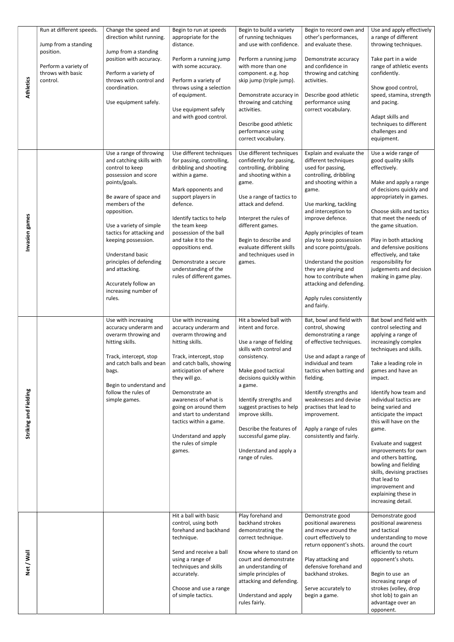| <b>Athletics</b>      | Run at different speeds.<br>Jump from a standing<br>position.<br>Perform a variety of<br>throws with basic<br>control. | Change the speed and<br>direction whilst running.<br>Jump from a standing<br>position with accuracy.<br>Perform a variety of<br>throws with control and<br>coordination.<br>Use equipment safely.                                                                                                                                                                                   | Begin to run at speeds<br>appropriate for the<br>distance.<br>Perform a running jump<br>with some accuracy.<br>Perform a variety of<br>throws using a selection<br>of equipment.<br>Use equipment safely<br>and with good control.                                                                                                                                      | Begin to build a variety<br>of running techniques<br>and use with confidence.<br>Perform a running jump<br>with more than one<br>component. e.g. hop<br>skip jump (triple jump).<br>Demonstrate accuracy in<br>throwing and catching<br>activities.<br>Describe good athletic<br>performance using<br>correct vocabulary.                                  | Begin to record own and<br>other's performances,<br>and evaluate these.<br>Demonstrate accuracy<br>and confidence in<br>throwing and catching<br>activities.<br>Describe good athletic<br>performance using<br>correct vocabulary.                                                                                                                                                                                                          | Use and apply effectively<br>a range of different<br>throwing techniques.<br>Take part in a wide<br>range of athletic events<br>confidently.<br>Show good control,<br>speed, stamina, strength<br>and pacing.<br>Adapt skills and<br>techniques to different<br>challenges and<br>equipment.                                                                                                                                                                                                                                       |
|-----------------------|------------------------------------------------------------------------------------------------------------------------|-------------------------------------------------------------------------------------------------------------------------------------------------------------------------------------------------------------------------------------------------------------------------------------------------------------------------------------------------------------------------------------|-------------------------------------------------------------------------------------------------------------------------------------------------------------------------------------------------------------------------------------------------------------------------------------------------------------------------------------------------------------------------|------------------------------------------------------------------------------------------------------------------------------------------------------------------------------------------------------------------------------------------------------------------------------------------------------------------------------------------------------------|---------------------------------------------------------------------------------------------------------------------------------------------------------------------------------------------------------------------------------------------------------------------------------------------------------------------------------------------------------------------------------------------------------------------------------------------|------------------------------------------------------------------------------------------------------------------------------------------------------------------------------------------------------------------------------------------------------------------------------------------------------------------------------------------------------------------------------------------------------------------------------------------------------------------------------------------------------------------------------------|
| Invasion games        |                                                                                                                        | Use a range of throwing<br>and catching skills with<br>control to keep<br>possession and score<br>points/goals.<br>Be aware of space and<br>members of the<br>opposition.<br>Use a variety of simple<br>tactics for attacking and<br>keeping possession.<br>Understand basic<br>principles of defending<br>and attacking.<br>Accurately follow an<br>increasing number of<br>rules. | Use different techniques<br>for passing, controlling,<br>dribbling and shooting<br>within a game.<br>Mark opponents and<br>support players in<br>defence.<br>Identify tactics to help<br>the team keep<br>possession of the ball<br>and take it to the<br>oppositions end.<br>Demonstrate a secure<br>understanding of the<br>rules of different games.                 | Use different techniques<br>confidently for passing,<br>controlling, dribbling<br>and shooting within a<br>game.<br>Use a range of tactics to<br>attack and defend.<br>Interpret the rules of<br>different games.<br>Begin to describe and<br>evaluate different skills<br>and techniques used in<br>games.                                                | Explain and evaluate the<br>different techniques<br>used for passing,<br>controlling, dribbling<br>and shooting within a<br>game.<br>Use marking, tackling<br>and interception to<br>improve defence.<br>Apply principles of team<br>play to keep possession<br>and score points/goals.<br>Understand the position<br>they are playing and<br>how to contribute when<br>attacking and defending.<br>Apply rules consistently<br>and fairly. | Use a wide range of<br>good quality skills<br>effectively.<br>Make and apply a range<br>of decisions quickly and<br>appropriately in games.<br>Choose skills and tactics<br>that meet the needs of<br>the game situation.<br>Play in both attacking<br>and defensive positions<br>effectively, and take<br>responsibility for<br>judgements and decision<br>making in game play.                                                                                                                                                   |
| Striking and Fielding |                                                                                                                        | Use with increasing<br>accuracy underarm and<br>overarm throwing and<br>hitting skills.<br>Track, intercept, stop<br>and catch balls and bean<br>bags.<br>Begin to understand and<br>follow the rules of<br>simple games.                                                                                                                                                           | Use with increasing<br>accuracy underarm and<br>overarm throwing and<br>hitting skills.<br>Track, intercept, stop<br>and catch balls, showing<br>anticipation of where<br>they will go.<br>Demonstrate an<br>awareness of what is<br>going on around them<br>and start to understand<br>tactics within a game.<br>Understand and apply<br>the rules of simple<br>games. | Hit a bowled ball with<br>intent and force.<br>Use a range of fielding<br>skills with control and<br>consistency.<br>Make good tactical<br>decisions quickly within<br>a game.<br>Identify strengths and<br>suggest practises to help<br>improve skills.<br>Describe the features of<br>successful game play.<br>Understand and apply a<br>range of rules. | Bat, bowl and field with<br>control, showing<br>demonstrating a range<br>of effective techniques.<br>Use and adapt a range of<br>individual and team<br>tactics when batting and<br>fielding.<br>Identify strengths and<br>weaknesses and devise<br>practises that lead to<br>improvement.<br>Apply a range of rules<br>consistently and fairly.                                                                                            | Bat bowl and field with<br>control selecting and<br>applying a range of<br>increasingly complex<br>techniques and skills.<br>Take a leading role in<br>games and have an<br>impact.<br>Identify how team and<br>individual tactics are<br>being varied and<br>anticipate the impact<br>this will have on the<br>game.<br>Evaluate and suggest<br>improvements for own<br>and others batting,<br>bowling and fielding<br>skills, devising practises<br>that lead to<br>improvement and<br>explaining these in<br>increasing detail. |
| Net / Wall            |                                                                                                                        |                                                                                                                                                                                                                                                                                                                                                                                     | Hit a ball with basic<br>control, using both<br>forehand and backhand<br>technique.<br>Send and receive a ball<br>using a range of<br>techniques and skills<br>accurately.<br>Choose and use a range<br>of simple tactics.                                                                                                                                              | Play forehand and<br>backhand strokes<br>demonstrating the<br>correct technique.<br>Know where to stand on<br>court and demonstrate<br>an understanding of<br>simple principles of<br>attacking and defending.<br>Understand and apply<br>rules fairly.                                                                                                    | Demonstrate good<br>positional awareness<br>and move around the<br>court effectively to<br>return opponent's shots.<br>Play attacking and<br>defensive forehand and<br>backhand strokes.<br>Serve accurately to<br>begin a game.                                                                                                                                                                                                            | Demonstrate good<br>positional awareness<br>and tactical<br>understanding to move<br>around the court<br>efficiently to return<br>opponent's shots.<br>Begin to use an<br>increasing range of<br>strokes (volley, drop<br>shot lob) to gain an<br>advantage over an<br>opponent.                                                                                                                                                                                                                                                   |